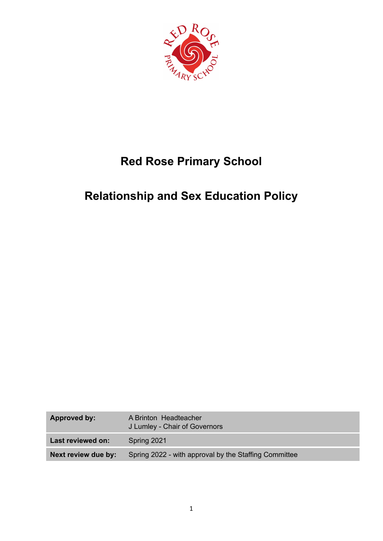

# **Red Rose Primary School**

## **Relationship and Sex Education Policy**

| Approved by:        | A Brinton Headteacher<br>J Lumley - Chair of Governors |  |
|---------------------|--------------------------------------------------------|--|
| Last reviewed on:   | Spring 2021                                            |  |
| Next review due by: | Spring 2022 - with approval by the Staffing Committee  |  |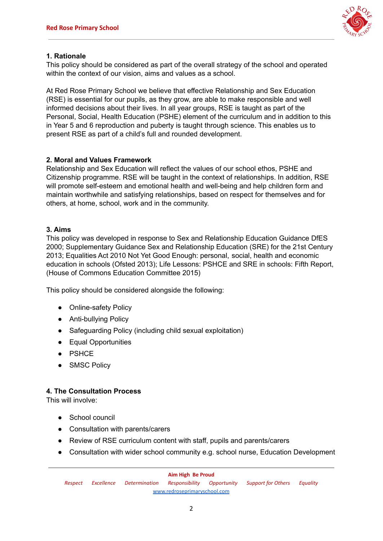

#### **1. Rationale**

This policy should be considered as part of the overall strategy of the school and operated within the context of our vision, aims and values as a school.

At Red Rose Primary School we believe that effective Relationship and Sex Education (RSE) is essential for our pupils, as they grow, are able to make responsible and well informed decisions about their lives. In all year groups, RSE is taught as part of the Personal, Social, Health Education (PSHE) element of the curriculum and in addition to this in Year 5 and 6 reproduction and puberty is taught through science. This enables us to present RSE as part of a child's full and rounded development.

#### **2. Moral and Values Framework**

Relationship and Sex Education will reflect the values of our school ethos, PSHE and Citizenship programme. RSE will be taught in the context of relationships. In addition, RSE will promote self-esteem and emotional health and well-being and help children form and maintain worthwhile and satisfying relationships, based on respect for themselves and for others, at home, school, work and in the community.

#### **3. Aims**

This policy was developed in response to Sex and Relationship Education Guidance DfES 2000; Supplementary Guidance Sex and Relationship Education (SRE) for the 21st Century 2013; Equalities Act 2010 Not Yet Good Enough: personal, social, health and economic education in schools (Ofsted 2013); Life Lessons: PSHCE and SRE in schools: Fifth Report, (House of Commons Education Committee 2015)

This policy should be considered alongside the following:

- Online-safety Policy
- Anti-bullying Policy
- Safeguarding Policy (including child sexual exploitation)
- Equal Opportunities
- PSHCE
- SMSC Policy

#### **4. The Consultation Process**

This will involve:

- School council
- Consultation with parents/carers
- Review of RSE curriculum content with staff, pupils and parents/carers
- Consultation with wider school community e.g. school nurse, Education Development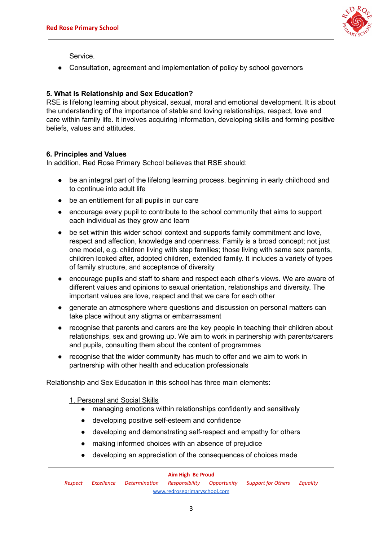

Service.

● Consultation, agreement and implementation of policy by school governors

#### **5. What Is Relationship and Sex Education?**

RSE is lifelong learning about physical, sexual, moral and emotional development. It is about the understanding of the importance of stable and loving relationships, respect, love and care within family life. It involves acquiring information, developing skills and forming positive beliefs, values and attitudes.

#### **6. Principles and Values**

In addition, Red Rose Primary School believes that RSE should:

- be an integral part of the lifelong learning process, beginning in early childhood and to continue into adult life
- be an entitlement for all pupils in our care
- encourage every pupil to contribute to the school community that aims to support each individual as they grow and learn
- be set within this wider school context and supports family commitment and love, respect and affection, knowledge and openness. Family is a broad concept; not just one model, e.g. children living with step families; those living with same sex parents, children looked after, adopted children, extended family. It includes a variety of types of family structure, and acceptance of diversity
- encourage pupils and staff to share and respect each other's views. We are aware of different values and opinions to sexual orientation, relationships and diversity. The important values are love, respect and that we care for each other
- generate an atmosphere where questions and discussion on personal matters can take place without any stigma or embarrassment
- recognise that parents and carers are the key people in teaching their children about relationships, sex and growing up. We aim to work in partnership with parents/carers and pupils, consulting them about the content of programmes
- recognise that the wider community has much to offer and we aim to work in partnership with other health and education professionals

Relationship and Sex Education in this school has three main elements:

1. Personal and Social Skills

- managing emotions within relationships confidently and sensitively
- developing positive self-esteem and confidence
- developing and demonstrating self-respect and empathy for others
- making informed choices with an absence of prejudice
- developing an appreciation of the consequences of choices made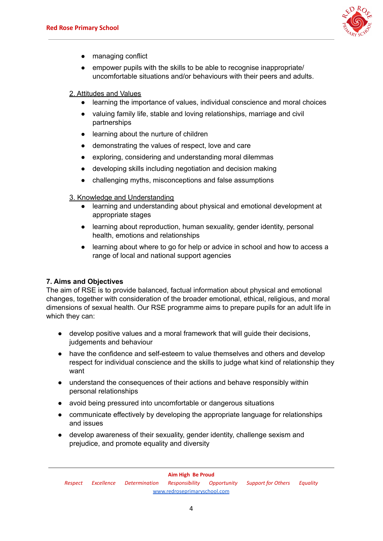

- managing conflict
- empower pupils with the skills to be able to recognise inappropriate/ uncomfortable situations and/or behaviours with their peers and adults.

#### 2. Attitudes and Values

- learning the importance of values, individual conscience and moral choices
- valuing family life, stable and loving relationships, marriage and civil partnerships
- learning about the nurture of children
- demonstrating the values of respect, love and care
- exploring, considering and understanding moral dilemmas
- developing skills including negotiation and decision making
- challenging myths, misconceptions and false assumptions

#### 3. Knowledge and Understanding

- learning and understanding about physical and emotional development at appropriate stages
- learning about reproduction, human sexuality, gender identity, personal health, emotions and relationships
- learning about where to go for help or advice in school and how to access a range of local and national support agencies

## **7. Aims and Objectives**

The aim of RSE is to provide balanced, factual information about physical and emotional changes, together with consideration of the broader emotional, ethical, religious, and moral dimensions of sexual health. Our RSE programme aims to prepare pupils for an adult life in which they can:

- develop positive values and a moral framework that will guide their decisions, judgements and behaviour
- have the confidence and self-esteem to value themselves and others and develop respect for individual conscience and the skills to judge what kind of relationship they want
- understand the consequences of their actions and behave responsibly within personal relationships
- avoid being pressured into uncomfortable or dangerous situations
- communicate effectively by developing the appropriate language for relationships and issues
- develop awareness of their sexuality, gender identity, challenge sexism and prejudice, and promote equality and diversity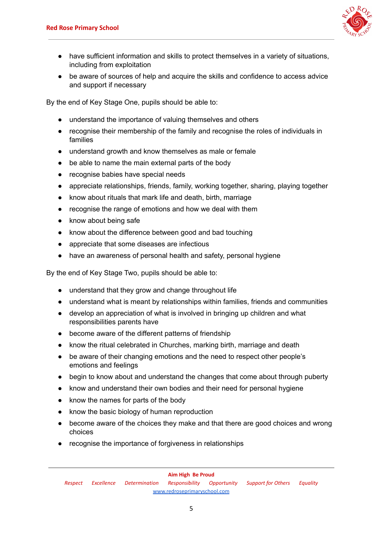

- have sufficient information and skills to protect themselves in a variety of situations, including from exploitation
- be aware of sources of help and acquire the skills and confidence to access advice and support if necessary

By the end of Key Stage One, pupils should be able to:

- understand the importance of valuing themselves and others
- recognise their membership of the family and recognise the roles of individuals in families
- understand growth and know themselves as male or female
- be able to name the main external parts of the body
- recognise babies have special needs
- appreciate relationships, friends, family, working together, sharing, playing together
- know about rituals that mark life and death, birth, marriage
- recognise the range of emotions and how we deal with them
- know about being safe
- know about the difference between good and bad touching
- appreciate that some diseases are infectious
- have an awareness of personal health and safety, personal hygiene

By the end of Key Stage Two, pupils should be able to:

- understand that they grow and change throughout life
- understand what is meant by relationships within families, friends and communities
- develop an appreciation of what is involved in bringing up children and what responsibilities parents have
- become aware of the different patterns of friendship
- know the ritual celebrated in Churches, marking birth, marriage and death
- be aware of their changing emotions and the need to respect other people's emotions and feelings
- begin to know about and understand the changes that come about through puberty
- know and understand their own bodies and their need for personal hygiene
- know the names for parts of the body
- know the basic biology of human reproduction
- become aware of the choices they make and that there are good choices and wrong choices
- recognise the importance of forgiveness in relationships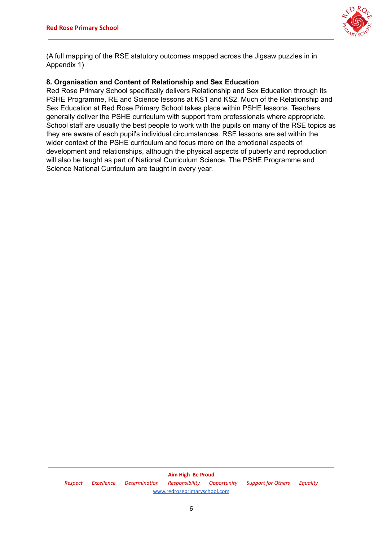

(A full mapping of the RSE statutory outcomes mapped across the Jigsaw puzzles in in Appendix 1)

#### **8. Organisation and Content of Relationship and Sex Education**

Red Rose Primary School specifically delivers Relationship and Sex Education through its PSHE Programme, RE and Science lessons at KS1 and KS2. Much of the Relationship and Sex Education at Red Rose Primary School takes place within PSHE lessons. Teachers generally deliver the PSHE curriculum with support from professionals where appropriate. School staff are usually the best people to work with the pupils on many of the RSE topics as they are aware of each pupil's individual circumstances. RSE lessons are set within the wider context of the PSHE curriculum and focus more on the emotional aspects of development and relationships, although the physical aspects of puberty and reproduction will also be taught as part of National Curriculum Science. The PSHE Programme and Science National Curriculum are taught in every year.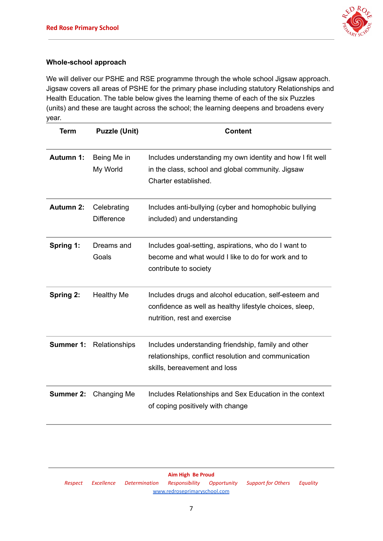

#### **Whole-school approach**

We will deliver our PSHE and RSE programme through the whole school Jigsaw approach. Jigsaw covers all areas of PSHE for the primary phase including statutory Relationships and Health Education. The table below gives the learning theme of each of the six Puzzles (units) and these are taught across the school; the learning deepens and broadens every year.

| Term             | <b>Puzzle (Unit)</b>             | <b>Content</b>                                                                                                                                   |
|------------------|----------------------------------|--------------------------------------------------------------------------------------------------------------------------------------------------|
| <b>Autumn 1:</b> | Being Me in<br>My World          | Includes understanding my own identity and how I fit well<br>in the class, school and global community. Jigsaw<br>Charter established.           |
| <b>Autumn 2:</b> | Celebrating<br><b>Difference</b> | Includes anti-bullying (cyber and homophobic bullying<br>included) and understanding                                                             |
| Spring 1:        | Dreams and<br>Goals              | Includes goal-setting, aspirations, who do I want to<br>become and what would I like to do for work and to<br>contribute to society              |
| Spring 2:        | <b>Healthy Me</b>                | Includes drugs and alcohol education, self-esteem and<br>confidence as well as healthy lifestyle choices, sleep,<br>nutrition, rest and exercise |
|                  | <b>Summer 1: Relationships</b>   | Includes understanding friendship, family and other<br>relationships, conflict resolution and communication<br>skills, bereavement and loss      |
| Summer 2:        | Changing Me                      | Includes Relationships and Sex Education in the context<br>of coping positively with change                                                      |

**Aim High Be Proud** *Respect Excellence Determination Responsibility Opportunity Support for Others Equality* [www.redroseprimaryschool.com](http://www.redroseprimaryschool.com)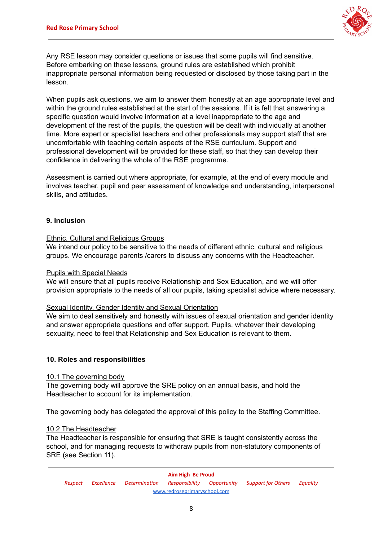

Any RSE lesson may consider questions or issues that some pupils will find sensitive. Before embarking on these lessons, ground rules are established which prohibit inappropriate personal information being requested or disclosed by those taking part in the lesson.

When pupils ask questions, we aim to answer them honestly at an age appropriate level and within the ground rules established at the start of the sessions. If it is felt that answering a specific question would involve information at a level inappropriate to the age and development of the rest of the pupils, the question will be dealt with individually at another time. More expert or specialist teachers and other professionals may support staff that are uncomfortable with teaching certain aspects of the RSE curriculum. Support and professional development will be provided for these staff, so that they can develop their confidence in delivering the whole of the RSE programme.

Assessment is carried out where appropriate, for example, at the end of every module and involves teacher, pupil and peer assessment of knowledge and understanding, interpersonal skills, and attitudes.

#### **9. Inclusion**

#### Ethnic, Cultural and Religious Groups

We intend our policy to be sensitive to the needs of different ethnic, cultural and religious groups. We encourage parents /carers to discuss any concerns with the Headteacher.

#### Pupils with Special Needs

We will ensure that all pupils receive Relationship and Sex Education, and we will offer provision appropriate to the needs of all our pupils, taking specialist advice where necessary.

#### Sexual Identity, Gender Identity and Sexual Orientation

We aim to deal sensitively and honestly with issues of sexual orientation and gender identity and answer appropriate questions and offer support. Pupils, whatever their developing sexuality, need to feel that Relationship and Sex Education is relevant to them.

#### **10. Roles and responsibilities**

#### 10.1 The governing body

The governing body will approve the SRE policy on an annual basis, and hold the Headteacher to account for its implementation.

The governing body has delegated the approval of this policy to the Staffing Committee.

#### 10.2 The Headteacher

The Headteacher is responsible for ensuring that SRE is taught consistently across the school, and for managing requests to withdraw pupils from non-statutory components of SRE (see Section 11).